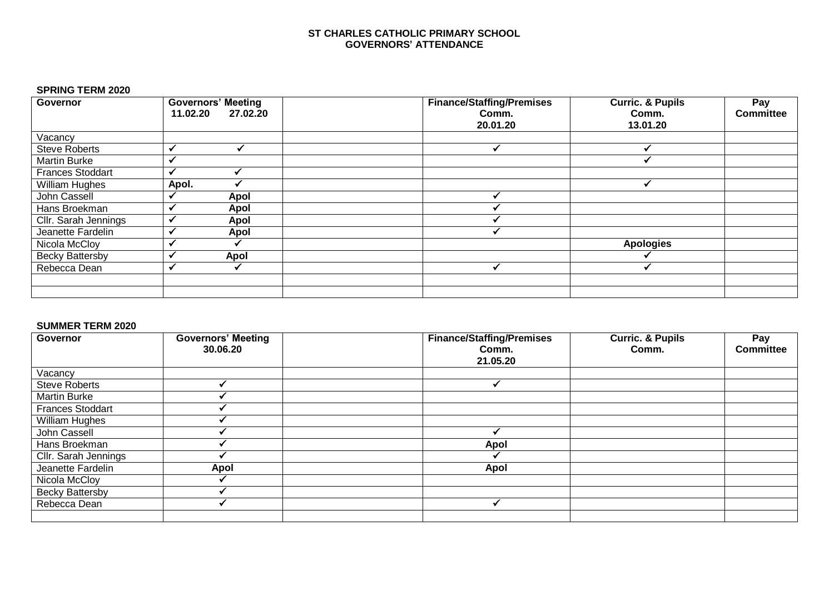#### **ST CHARLES CATHOLIC PRIMARY SCHOOL GOVERNORS' ATTENDANCE**

### **SPRING TERM 2020**

| Governor                | <b>Governors' Meeting</b> | <b>Finance/Staffing/Premises</b> | <b>Curric. &amp; Pupils</b> | Pay              |
|-------------------------|---------------------------|----------------------------------|-----------------------------|------------------|
|                         | 27.02.20<br>11.02.20      | Comm.                            | Comm.                       | <b>Committee</b> |
|                         |                           | 20.01.20                         | 13.01.20                    |                  |
| Vacancy                 |                           |                                  |                             |                  |
| <b>Steve Roberts</b>    |                           |                                  |                             |                  |
| <b>Martin Burke</b>     |                           |                                  |                             |                  |
| <b>Frances Stoddart</b> |                           |                                  |                             |                  |
| <b>William Hughes</b>   | Apol.                     |                                  |                             |                  |
| John Cassell            | Apol                      |                                  |                             |                  |
| Hans Broekman           | Apol                      |                                  |                             |                  |
| Cllr. Sarah Jennings    | Apol                      |                                  |                             |                  |
| Jeanette Fardelin       | Apol                      |                                  |                             |                  |
| Nicola McCloy           |                           |                                  | <b>Apologies</b>            |                  |
| <b>Becky Battersby</b>  | Apol                      |                                  |                             |                  |
| Rebecca Dean            |                           |                                  |                             |                  |
|                         |                           |                                  |                             |                  |
|                         |                           |                                  |                             |                  |

#### **SUMMER TERM 2020**

| Governor                | <b>Governors' Meeting</b><br>30.06.20 | <b>Finance/Staffing/Premises</b><br>Comm.<br>21.05.20 | <b>Curric. &amp; Pupils</b><br>Comm. | Pay<br><b>Committee</b> |
|-------------------------|---------------------------------------|-------------------------------------------------------|--------------------------------------|-------------------------|
| Vacancy                 |                                       |                                                       |                                      |                         |
| <b>Steve Roberts</b>    |                                       |                                                       |                                      |                         |
| <b>Martin Burke</b>     |                                       |                                                       |                                      |                         |
| <b>Frances Stoddart</b> |                                       |                                                       |                                      |                         |
| William Hughes          |                                       |                                                       |                                      |                         |
| John Cassell            |                                       |                                                       |                                      |                         |
| Hans Broekman           |                                       | <b>Apol</b>                                           |                                      |                         |
| Cllr. Sarah Jennings    |                                       |                                                       |                                      |                         |
| Jeanette Fardelin       | Apol                                  | Apol                                                  |                                      |                         |
| Nicola McCloy           |                                       |                                                       |                                      |                         |
| <b>Becky Battersby</b>  |                                       |                                                       |                                      |                         |
| Rebecca Dean            |                                       |                                                       |                                      |                         |
|                         |                                       |                                                       |                                      |                         |